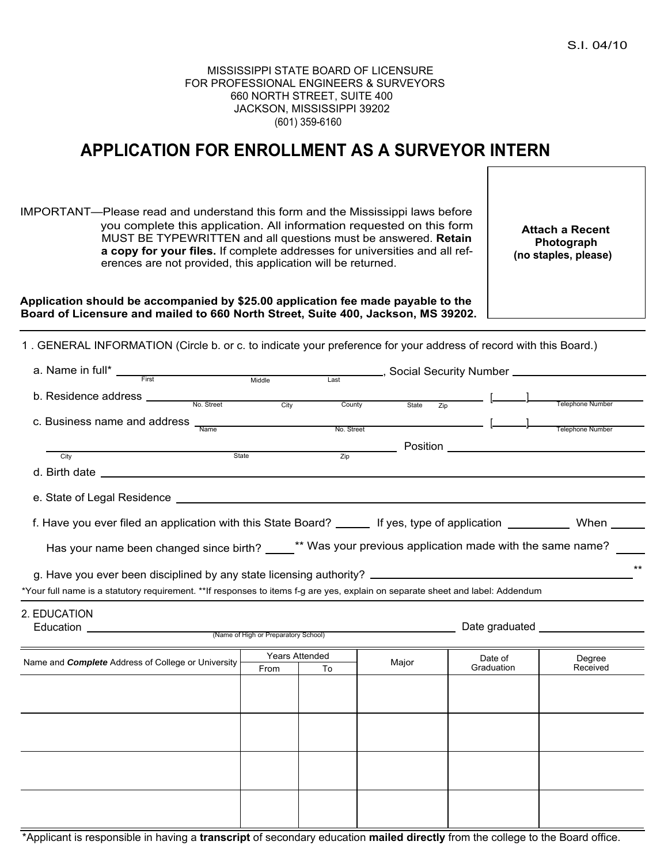## MISSISSIPPI STATE BOARD OF LICENSURE FOR PROFESSIONAL ENGINEERS & SURVEYORS 660 NORTH STREET, SUITE 400 JACKSON, MISSISSIPPI 39202 (601) 359-6160

## **APPLICATION FOR ENROLLMENT AS A SURVEYOR INTERN**

IMPORTANT—Please read and understand this form and the Mississippi laws before you complete this application. All information requested on this form MUST BE TYPEWRITTEN and all questions must be answered. **Retain a copy for your files.** If complete addresses for universities and all references are not provided, this application will be returned.

**Attach a Recent Photograph (no staples, please)**

**Application should be accompanied by \$25.00 application fee made payable to the Board of Licensure and mailed to 660 North Street, Suite 400, Jackson, MS 39202.**

1 . GENERAL INFORMATION (Circle b. or c. to indicate your preference for your address of record with this Board.)

| a. Name in full* $\frac{1}{\frac{1}{\sqrt{1-\frac{1}{\sqrt{1-\frac{1}{\sqrt{1-\frac{1}{\sqrt{1-\frac{1}{\sqrt{1-\frac{1}{\sqrt{1-\frac{1}{\sqrt{1-\frac{1}{\sqrt{1-\frac{1}{\sqrt{1-\frac{1}{\sqrt{1-\frac{1}{\sqrt{1-\frac{1}{\sqrt{1-\frac{1}{\sqrt{1-\frac{1}{\sqrt{1-\frac{1}{\sqrt{1-\frac{1}{\sqrt{1-\frac{1}{\sqrt{1-\frac{1}{\sqrt{1-\frac{1}{\sqrt{1-\frac{1}{\sqrt{1-\frac{1}{\sqrt{1-\frac{1}{\sqrt{1$ |       |                                      | Last              |       |  |                                      |
|-------------------------------------------------------------------------------------------------------------------------------------------------------------------------------------------------------------------------------------------------------------------------------------------------------------------------------------------------------------------------------------------------------------------|-------|--------------------------------------|-------------------|-------|--|--------------------------------------|
|                                                                                                                                                                                                                                                                                                                                                                                                                   |       |                                      |                   |       |  |                                      |
|                                                                                                                                                                                                                                                                                                                                                                                                                   |       | City                                 | County            | State |  | Telephone Number                     |
| c. Business name and address                                                                                                                                                                                                                                                                                                                                                                                      | Name  |                                      | No. Street        |       |  | <b>Example 2016</b> Telephone Number |
|                                                                                                                                                                                                                                                                                                                                                                                                                   |       |                                      |                   |       |  |                                      |
| City                                                                                                                                                                                                                                                                                                                                                                                                              | State |                                      | $\overline{Z}$ ip |       |  |                                      |
|                                                                                                                                                                                                                                                                                                                                                                                                                   |       |                                      |                   |       |  |                                      |
|                                                                                                                                                                                                                                                                                                                                                                                                                   |       |                                      |                   |       |  |                                      |
| f. Have you ever filed an application with this State Board? ______ If yes, type of application __________ When _____                                                                                                                                                                                                                                                                                             |       |                                      |                   |       |  |                                      |
| Has your name been changed since birth? ____** Was your previous application made with the same name?                                                                                                                                                                                                                                                                                                             |       |                                      |                   |       |  |                                      |
| $***$                                                                                                                                                                                                                                                                                                                                                                                                             |       |                                      |                   |       |  |                                      |
| *Your full name is a statutory requirement. **If responses to items f-g are yes, explain on separate sheet and label: Addendum                                                                                                                                                                                                                                                                                    |       |                                      |                   |       |  |                                      |
| 2. EDUCATION<br>Education <u>Constantine and Constantine and Constantine and Constantine and Constantine and Constantine and Constantine and Constantine and Constantine and Constantine and Constantine and Constantine and Constantine and Con</u>                                                                                                                                                              |       | (Name of High or Preparatory School) |                   |       |  |                                      |
|                                                                                                                                                                                                                                                                                                                                                                                                                   |       |                                      |                   |       |  |                                      |

|                                                           | Years Attended |    |       | Date of    |                    |  |
|-----------------------------------------------------------|----------------|----|-------|------------|--------------------|--|
| Name and <b>Complete</b> Address of College or University | From           | To | Major | Graduation | Degree<br>Received |  |
|                                                           |                |    |       |            |                    |  |
|                                                           |                |    |       |            |                    |  |
|                                                           |                |    |       |            |                    |  |
|                                                           |                |    |       |            |                    |  |
|                                                           |                |    |       |            |                    |  |
|                                                           |                |    |       |            |                    |  |
|                                                           |                |    |       |            |                    |  |
|                                                           |                |    |       |            |                    |  |
|                                                           |                |    |       |            |                    |  |
|                                                           |                |    |       |            |                    |  |
|                                                           |                |    |       |            |                    |  |
|                                                           |                |    |       |            |                    |  |

\*Applicant is responsible in having a **transcript** of secondary education **mailed directly** from the college to the Board office.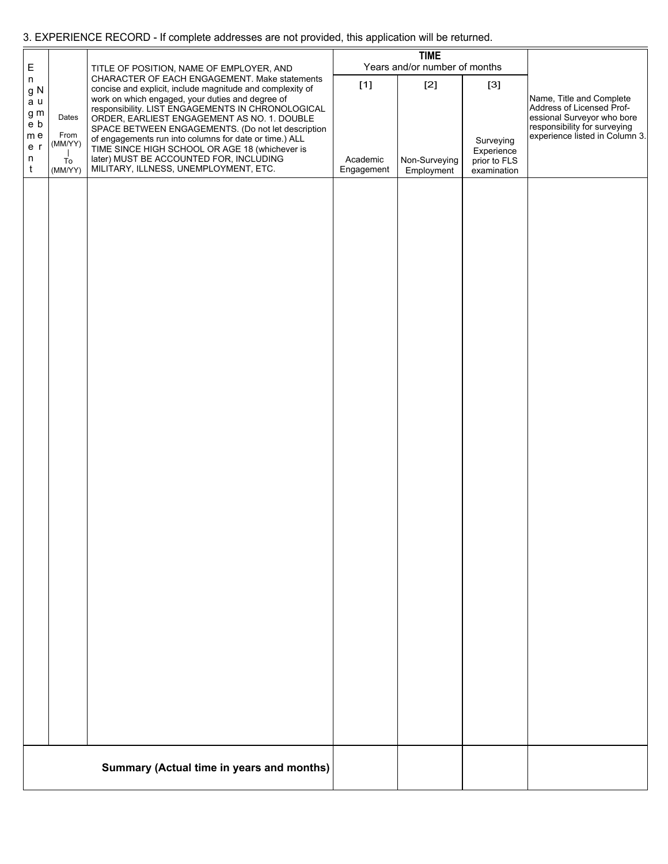## 3. EXPERIENCE RECORD - If complete addresses are not provided, this application will be returned.

| E                                                                                                      |                          | TITLE OF POSITION, NAME OF EMPLOYER, AND                                                                                                                                                                                                                                                                                                                                                                                             | <b>TIME</b><br>Years and/or number of months |                             |                                  |                                                                                                                                                       |
|--------------------------------------------------------------------------------------------------------|--------------------------|--------------------------------------------------------------------------------------------------------------------------------------------------------------------------------------------------------------------------------------------------------------------------------------------------------------------------------------------------------------------------------------------------------------------------------------|----------------------------------------------|-----------------------------|----------------------------------|-------------------------------------------------------------------------------------------------------------------------------------------------------|
| n<br>$\ensuremath{\mathsf{g}}\xspace\ensuremath{\mathsf{N}}\xspace$<br>a u<br>g m<br>e b<br>m e<br>e r | Dates<br>From<br>(MM/YY) | CHARACTER OF EACH ENGAGEMENT. Make statements<br>concise and explicit, include magnitude and complexity of<br>work on which engaged, your duties and degree of<br>responsibility. LIST ENGAGEMENTS IN CHRONOLOGICAL<br>ORDER, EARLIEST ENGAGEMENT AS NO. 1. DOUBLE<br>SPACE BETWEEN ENGAGEMENTS. (Do not let description<br>of engagements run into columns for date or time.) ALL<br>TIME SINCE HIGH SCHOOL OR AGE 18 (whichever is | $[1]$                                        | $[2]$                       | $[3]$<br>Surveying<br>Experience | Name, Title and Complete<br>Address of Licensed Prof-<br>essional Surveyor who bore<br>responsibility for surveying<br>experience listed in Column 3. |
| n<br>t                                                                                                 | To<br>(MM/YY)            | later) MUST BE ACCOUNTED FOR, INCLUDING<br>MILITARY, ILLNESS, UNEMPLOYMENT, ETC.                                                                                                                                                                                                                                                                                                                                                     | Academic<br>Engagement                       | Non-Surveying<br>Employment | prior to FLS<br>examination      |                                                                                                                                                       |
|                                                                                                        |                          |                                                                                                                                                                                                                                                                                                                                                                                                                                      |                                              |                             |                                  |                                                                                                                                                       |
|                                                                                                        |                          |                                                                                                                                                                                                                                                                                                                                                                                                                                      |                                              |                             |                                  |                                                                                                                                                       |
|                                                                                                        |                          | Summary (Actual time in years and months)                                                                                                                                                                                                                                                                                                                                                                                            |                                              |                             |                                  |                                                                                                                                                       |